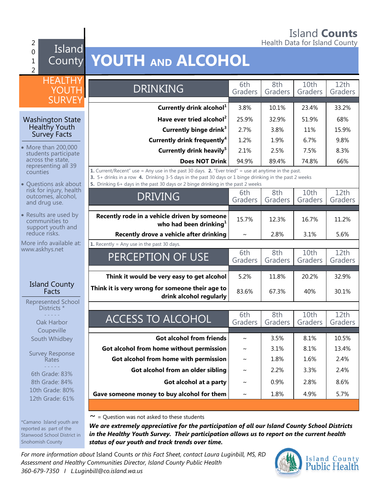# Island **Counts**

2 **Figure 1** Health Data for Island County

#### $\overline{0}$ 1 2 Island

 $W$ 

\*Camano Island youth are reported as part of the Stanwood School District in Snohomish County

# County **YOUTH AND ALCOHOL**

| <b>HEALTHY</b>                                                 |                                                                                                                                                                                                                                                                                                                |                |                |                 |                 |
|----------------------------------------------------------------|----------------------------------------------------------------------------------------------------------------------------------------------------------------------------------------------------------------------------------------------------------------------------------------------------------------|----------------|----------------|-----------------|-----------------|
| <b>YOUTH</b>                                                   | <b>DRINKING</b>                                                                                                                                                                                                                                                                                                | 6th<br>Graders | 8th<br>Graders | 10th<br>Graders | 12th<br>Graders |
| <b>SURVEY</b>                                                  |                                                                                                                                                                                                                                                                                                                |                |                |                 |                 |
|                                                                | Currently drink alcohol <sup>1</sup>                                                                                                                                                                                                                                                                           | 3.8%           | 10.1%          | 23.4%           | 33.2%           |
| <b>Washington State</b>                                        | Have ever tried alcohol <sup>2</sup>                                                                                                                                                                                                                                                                           | 25.9%          | 32.9%          | 51.9%           | 68%             |
| Healthy Youth<br><b>Survey Facts</b>                           | Currently binge drink <sup>3</sup>                                                                                                                                                                                                                                                                             | 2.7%           | 3.8%           | 11%             | 15.9%           |
|                                                                | <b>Currently drink frequently<sup>4</sup></b>                                                                                                                                                                                                                                                                  | 1.2%           | 1.9%           | 6.7%            | 9.8%            |
| More than 200,000<br>students participate                      | Currently drink heavily <sup>5</sup>                                                                                                                                                                                                                                                                           | 2.1%           | 2.5%           | 7.5%            | 8.3%            |
| across the state,<br>representing all 39                       | <b>Does NOT Drink</b>                                                                                                                                                                                                                                                                                          | 94.9%          | 89.4%          | 74.8%           | 66%             |
| counties<br>• Questions ask about                              | <b>1.</b> Current/Recent" use = Any use in the past 30 days. <b>2.</b> "Ever tried" = use at anytime in the past.<br>3. 5+ drinks in a row 4. Drinking 3-5 days in the past 30 days or 1 binge drinking in the past 2 weeks<br>5. Drinking 6+ days in the past 30 days or 2 binge drinking in the past 2 weeks |                |                |                 |                 |
| risk for injury, health<br>outcomes, alcohol,<br>and drug use. | <b>DRIVING</b>                                                                                                                                                                                                                                                                                                 | 6th<br>Graders | 8th<br>Graders | 10th<br>Graders | 12th<br>Graders |
| • Results are used by<br>communities to<br>support youth and   | Recently rode in a vehicle driven by someone<br>who had been drinking <sup>1</sup>                                                                                                                                                                                                                             | 15.7%          | 12.3%          | 16.7%           | 11.2%           |
| reduce risks.                                                  | Recently drove a vehicle after drinking                                                                                                                                                                                                                                                                        | $\sim$         | 2.8%           | 3.1%            | 5.6%            |
| More info available at:<br>www.askhys.net                      | <b>1.</b> Recently = Any use in the past 30 days.                                                                                                                                                                                                                                                              |                |                |                 |                 |
|                                                                | PERCEPTION OF USE                                                                                                                                                                                                                                                                                              | 6th<br>Graders | 8th<br>Graders | 10th<br>Graders | 12th<br>Graders |
|                                                                | Think it would be very easy to get alcohol                                                                                                                                                                                                                                                                     | 5.2%           | 11.8%          | 20.2%           | 32.9%           |
| <b>Island County</b><br>Facts                                  | Think it is very wrong for someone their age to<br>drink alcohol regularly                                                                                                                                                                                                                                     | 83.6%          | 67.3%          | 40%             | 30.1%           |
| Represented School<br>Districts *                              |                                                                                                                                                                                                                                                                                                                |                |                |                 |                 |
| Oak Harbor<br>Coupeville                                       | <b>ACCESS TO ALCOHOL</b>                                                                                                                                                                                                                                                                                       | 6th<br>Graders | 8th<br>Graders | 10th<br>Graders | 12th<br>Graders |
| South Whidbey                                                  | <b>Got alcohol from friends</b>                                                                                                                                                                                                                                                                                | $\sim$         | 3.5%           | 8.1%            | 10.5%           |
|                                                                | Got alcohol from home without permission                                                                                                                                                                                                                                                                       | $\sim$         | 3.1%           | 8.1%            | 13.4%           |
| <b>Survey Response</b><br>Rates                                | Got alcohol from home with permission                                                                                                                                                                                                                                                                          | $\sim$         | 1.8%           | 1.6%            | 2.4%            |
| 6th Grade: 83%                                                 | Got alcohol from an older sibling                                                                                                                                                                                                                                                                              | $\sim$         | 2.2%           | 3.3%            | 2.4%            |
| 8th Grade: 84%                                                 | Got alcohol at a party                                                                                                                                                                                                                                                                                         | $\sim$         | 0.9%           | 2.8%            | 8.6%            |
| 10th Grade: 80%<br>12th Grade: 61%                             | Gave someone money to buy alcohol for them                                                                                                                                                                                                                                                                     | $\sim$         | 1.8%           | 4.9%            | 5.7%            |
|                                                                |                                                                                                                                                                                                                                                                                                                |                |                |                 |                 |
|                                                                |                                                                                                                                                                                                                                                                                                                |                |                |                 |                 |

 $\sim$  = Question was not asked to these students

*We are extremely appreciative for the participation of all our Island County School Districts in the Healthy Youth Survey. Their participation allows us to report on the current health status of our youth and track trends over time.*

*For more information about* Island Counts *or this Fact Sheet, contact Laura Luginbill, MS, RD Assessment and Healthy Communities Director, Island County Public Health 360-679-7350 I L.Luginbill@co.island.wa.us*